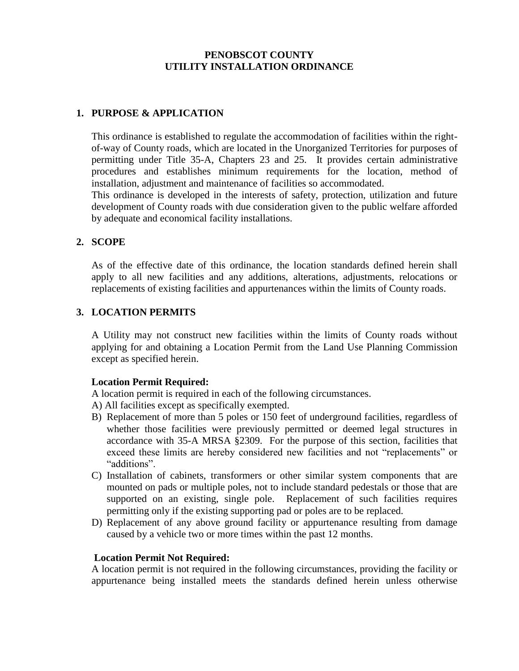### **PENOBSCOT COUNTY UTILITY INSTALLATION ORDINANCE**

## **1. PURPOSE & APPLICATION**

This ordinance is established to regulate the accommodation of facilities within the rightof-way of County roads, which are located in the Unorganized Territories for purposes of permitting under Title 35-A, Chapters 23 and 25. It provides certain administrative procedures and establishes minimum requirements for the location, method of installation, adjustment and maintenance of facilities so accommodated.

This ordinance is developed in the interests of safety, protection, utilization and future development of County roads with due consideration given to the public welfare afforded by adequate and economical facility installations.

### **2. SCOPE**

As of the effective date of this ordinance, the location standards defined herein shall apply to all new facilities and any additions, alterations, adjustments, relocations or replacements of existing facilities and appurtenances within the limits of County roads.

## **3. LOCATION PERMITS**

A Utility may not construct new facilities within the limits of County roads without applying for and obtaining a Location Permit from the Land Use Planning Commission except as specified herein.

### **Location Permit Required:**

A location permit is required in each of the following circumstances.

- A) All facilities except as specifically exempted.
- B) Replacement of more than 5 poles or 150 feet of underground facilities, regardless of whether those facilities were previously permitted or deemed legal structures in accordance with 35-A MRSA §2309. For the purpose of this section, facilities that exceed these limits are hereby considered new facilities and not "replacements" or "additions".
- C) Installation of cabinets, transformers or other similar system components that are mounted on pads or multiple poles, not to include standard pedestals or those that are supported on an existing, single pole. Replacement of such facilities requires permitting only if the existing supporting pad or poles are to be replaced.
- D) Replacement of any above ground facility or appurtenance resulting from damage caused by a vehicle two or more times within the past 12 months.

#### **Location Permit Not Required:**

A location permit is not required in the following circumstances, providing the facility or appurtenance being installed meets the standards defined herein unless otherwise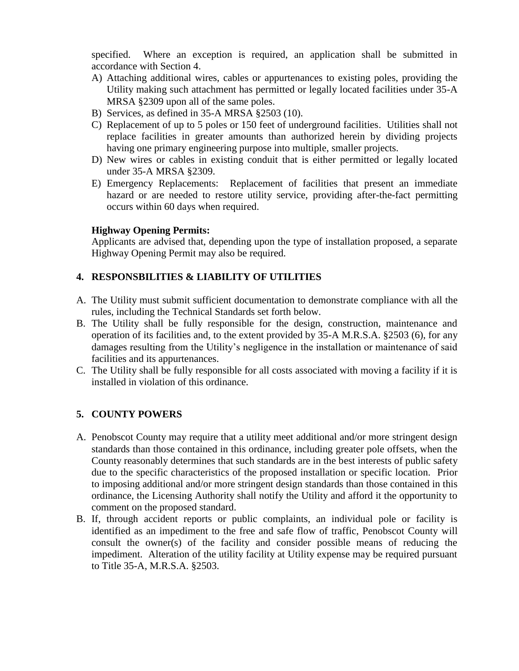specified. Where an exception is required, an application shall be submitted in accordance with Section 4.

- A) Attaching additional wires, cables or appurtenances to existing poles, providing the Utility making such attachment has permitted or legally located facilities under 35-A MRSA §2309 upon all of the same poles.
- B) Services, as defined in 35-A MRSA §2503 (10).
- C) Replacement of up to 5 poles or 150 feet of underground facilities. Utilities shall not replace facilities in greater amounts than authorized herein by dividing projects having one primary engineering purpose into multiple, smaller projects.
- D) New wires or cables in existing conduit that is either permitted or legally located under 35-A MRSA §2309.
- E) Emergency Replacements: Replacement of facilities that present an immediate hazard or are needed to restore utility service, providing after-the-fact permitting occurs within 60 days when required.

## **Highway Opening Permits:**

Applicants are advised that, depending upon the type of installation proposed, a separate Highway Opening Permit may also be required.

# **4. RESPONSBILITIES & LIABILITY OF UTILITIES**

- A. The Utility must submit sufficient documentation to demonstrate compliance with all the rules, including the Technical Standards set forth below.
- B. The Utility shall be fully responsible for the design, construction, maintenance and operation of its facilities and, to the extent provided by 35-A M.R.S.A. §2503 (6), for any damages resulting from the Utility's negligence in the installation or maintenance of said facilities and its appurtenances.
- C. The Utility shall be fully responsible for all costs associated with moving a facility if it is installed in violation of this ordinance.

# **5. COUNTY POWERS**

- A. Penobscot County may require that a utility meet additional and/or more stringent design standards than those contained in this ordinance, including greater pole offsets, when the County reasonably determines that such standards are in the best interests of public safety due to the specific characteristics of the proposed installation or specific location. Prior to imposing additional and/or more stringent design standards than those contained in this ordinance, the Licensing Authority shall notify the Utility and afford it the opportunity to comment on the proposed standard.
- B. If, through accident reports or public complaints, an individual pole or facility is identified as an impediment to the free and safe flow of traffic, Penobscot County will consult the owner(s) of the facility and consider possible means of reducing the impediment. Alteration of the utility facility at Utility expense may be required pursuant to Title 35-A, M.R.S.A. §2503.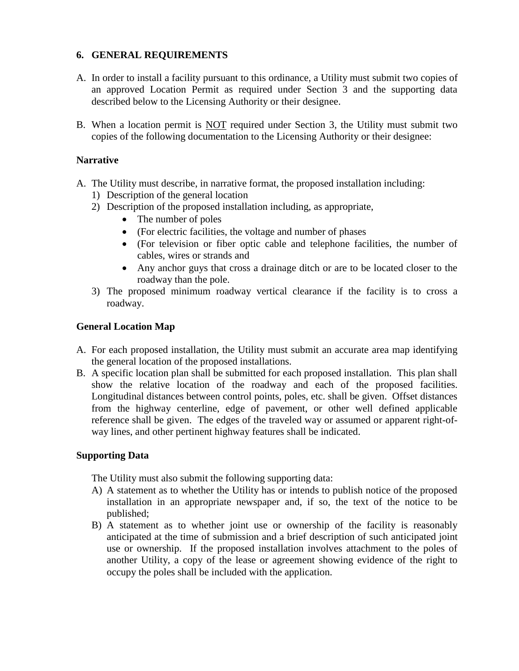## **6. GENERAL REQUIREMENTS**

- A. In order to install a facility pursuant to this ordinance, a Utility must submit two copies of an approved Location Permit as required under Section 3 and the supporting data described below to the Licensing Authority or their designee.
- B. When a location permit is NOT required under Section 3, the Utility must submit two copies of the following documentation to the Licensing Authority or their designee:

### **Narrative**

- A. The Utility must describe, in narrative format, the proposed installation including:
	- 1) Description of the general location
	- 2) Description of the proposed installation including, as appropriate,
		- The number of poles
			- (For electric facilities, the voltage and number of phases
			- (For television or fiber optic cable and telephone facilities, the number of cables, wires or strands and
		- Any anchor guys that cross a drainage ditch or are to be located closer to the roadway than the pole.
	- 3) The proposed minimum roadway vertical clearance if the facility is to cross a roadway.

## **General Location Map**

- A. For each proposed installation, the Utility must submit an accurate area map identifying the general location of the proposed installations.
- B. A specific location plan shall be submitted for each proposed installation. This plan shall show the relative location of the roadway and each of the proposed facilities. Longitudinal distances between control points, poles, etc. shall be given. Offset distances from the highway centerline, edge of pavement, or other well defined applicable reference shall be given. The edges of the traveled way or assumed or apparent right-ofway lines, and other pertinent highway features shall be indicated.

### **Supporting Data**

The Utility must also submit the following supporting data:

- A) A statement as to whether the Utility has or intends to publish notice of the proposed installation in an appropriate newspaper and, if so, the text of the notice to be published;
- B) A statement as to whether joint use or ownership of the facility is reasonably anticipated at the time of submission and a brief description of such anticipated joint use or ownership. If the proposed installation involves attachment to the poles of another Utility, a copy of the lease or agreement showing evidence of the right to occupy the poles shall be included with the application.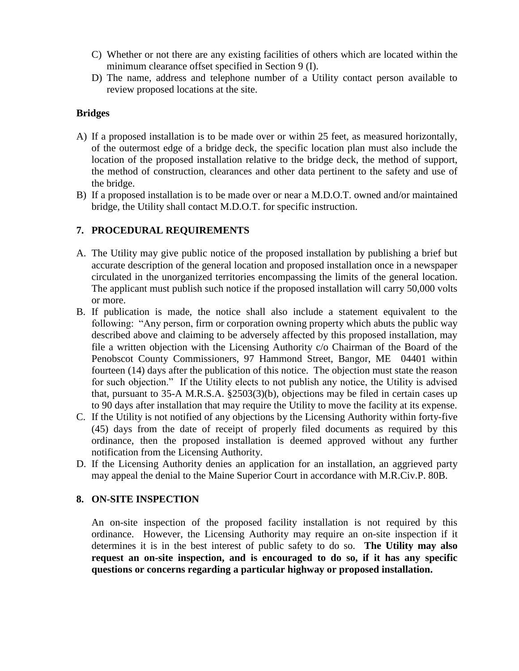- C) Whether or not there are any existing facilities of others which are located within the minimum clearance offset specified in Section 9 (I).
- D) The name, address and telephone number of a Utility contact person available to review proposed locations at the site.

## **Bridges**

- A) If a proposed installation is to be made over or within 25 feet, as measured horizontally, of the outermost edge of a bridge deck, the specific location plan must also include the location of the proposed installation relative to the bridge deck, the method of support, the method of construction, clearances and other data pertinent to the safety and use of the bridge.
- B) If a proposed installation is to be made over or near a M.D.O.T. owned and/or maintained bridge, the Utility shall contact M.D.O.T. for specific instruction.

# **7. PROCEDURAL REQUIREMENTS**

- A. The Utility may give public notice of the proposed installation by publishing a brief but accurate description of the general location and proposed installation once in a newspaper circulated in the unorganized territories encompassing the limits of the general location. The applicant must publish such notice if the proposed installation will carry 50,000 volts or more.
- B. If publication is made, the notice shall also include a statement equivalent to the following: "Any person, firm or corporation owning property which abuts the public way described above and claiming to be adversely affected by this proposed installation, may file a written objection with the Licensing Authority c/o Chairman of the Board of the Penobscot County Commissioners, 97 Hammond Street, Bangor, ME 04401 within fourteen (14) days after the publication of this notice. The objection must state the reason for such objection." If the Utility elects to not publish any notice, the Utility is advised that, pursuant to 35-A M.R.S.A. §2503(3)(b), objections may be filed in certain cases up to 90 days after installation that may require the Utility to move the facility at its expense.
- C. If the Utility is not notified of any objections by the Licensing Authority within forty-five (45) days from the date of receipt of properly filed documents as required by this ordinance, then the proposed installation is deemed approved without any further notification from the Licensing Authority.
- D. If the Licensing Authority denies an application for an installation, an aggrieved party may appeal the denial to the Maine Superior Court in accordance with M.R.Civ.P. 80B.

### **8. ON-SITE INSPECTION**

An on-site inspection of the proposed facility installation is not required by this ordinance. However, the Licensing Authority may require an on-site inspection if it determines it is in the best interest of public safety to do so. **The Utility may also request an on-site inspection, and is encouraged to do so, if it has any specific questions or concerns regarding a particular highway or proposed installation.**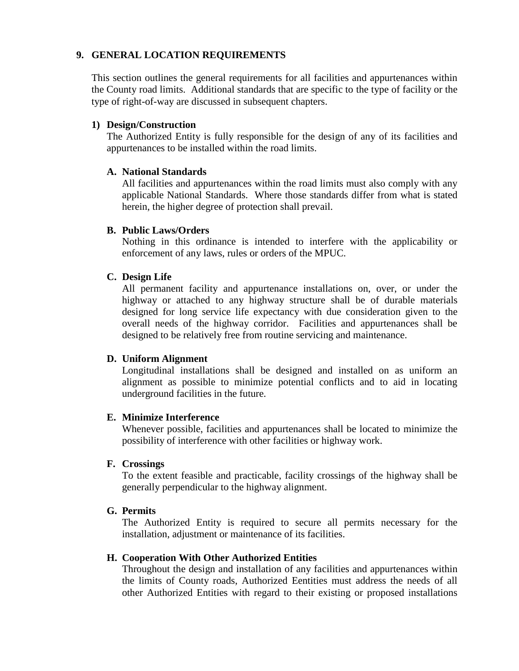### **9. GENERAL LOCATION REQUIREMENTS**

This section outlines the general requirements for all facilities and appurtenances within the County road limits. Additional standards that are specific to the type of facility or the type of right-of-way are discussed in subsequent chapters.

### **1) Design/Construction**

The Authorized Entity is fully responsible for the design of any of its facilities and appurtenances to be installed within the road limits.

### **A. National Standards**

All facilities and appurtenances within the road limits must also comply with any applicable National Standards. Where those standards differ from what is stated herein, the higher degree of protection shall prevail.

## **B. Public Laws/Orders**

Nothing in this ordinance is intended to interfere with the applicability or enforcement of any laws, rules or orders of the MPUC.

## **C. Design Life**

All permanent facility and appurtenance installations on, over, or under the highway or attached to any highway structure shall be of durable materials designed for long service life expectancy with due consideration given to the overall needs of the highway corridor. Facilities and appurtenances shall be designed to be relatively free from routine servicing and maintenance.

### **D. Uniform Alignment**

Longitudinal installations shall be designed and installed on as uniform an alignment as possible to minimize potential conflicts and to aid in locating underground facilities in the future.

### **E. Minimize Interference**

Whenever possible, facilities and appurtenances shall be located to minimize the possibility of interference with other facilities or highway work.

### **F. Crossings**

To the extent feasible and practicable, facility crossings of the highway shall be generally perpendicular to the highway alignment.

### **G. Permits**

The Authorized Entity is required to secure all permits necessary for the installation, adjustment or maintenance of its facilities.

### **H. Cooperation With Other Authorized Entities**

Throughout the design and installation of any facilities and appurtenances within the limits of County roads, Authorized Eentities must address the needs of all other Authorized Entities with regard to their existing or proposed installations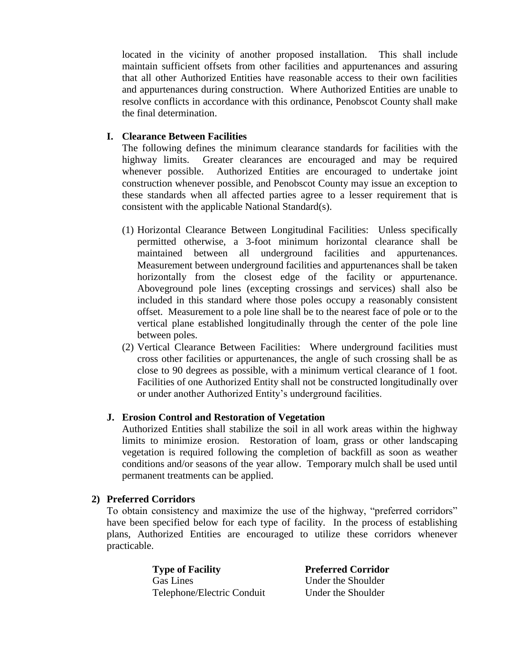located in the vicinity of another proposed installation. This shall include maintain sufficient offsets from other facilities and appurtenances and assuring that all other Authorized Entities have reasonable access to their own facilities and appurtenances during construction. Where Authorized Entities are unable to resolve conflicts in accordance with this ordinance, Penobscot County shall make the final determination.

## **I. Clearance Between Facilities**

The following defines the minimum clearance standards for facilities with the highway limits. Greater clearances are encouraged and may be required whenever possible. Authorized Entities are encouraged to undertake joint construction whenever possible, and Penobscot County may issue an exception to these standards when all affected parties agree to a lesser requirement that is consistent with the applicable National Standard(s).

- (1) Horizontal Clearance Between Longitudinal Facilities: Unless specifically permitted otherwise, a 3-foot minimum horizontal clearance shall be maintained between all underground facilities and appurtenances. Measurement between underground facilities and appurtenances shall be taken horizontally from the closest edge of the facility or appurtenance. Aboveground pole lines (excepting crossings and services) shall also be included in this standard where those poles occupy a reasonably consistent offset. Measurement to a pole line shall be to the nearest face of pole or to the vertical plane established longitudinally through the center of the pole line between poles.
- (2) Vertical Clearance Between Facilities: Where underground facilities must cross other facilities or appurtenances, the angle of such crossing shall be as close to 90 degrees as possible, with a minimum vertical clearance of 1 foot. Facilities of one Authorized Entity shall not be constructed longitudinally over or under another Authorized Entity's underground facilities.

### **J. Erosion Control and Restoration of Vegetation**

Authorized Entities shall stabilize the soil in all work areas within the highway limits to minimize erosion. Restoration of loam, grass or other landscaping vegetation is required following the completion of backfill as soon as weather conditions and/or seasons of the year allow. Temporary mulch shall be used until permanent treatments can be applied.

# **2) Preferred Corridors**

To obtain consistency and maximize the use of the highway, "preferred corridors" have been specified below for each type of facility. In the process of establishing plans, Authorized Entities are encouraged to utilize these corridors whenever practicable.

> **Type of Facility Preferred Corridor** Gas Lines Under the Shoulder Telephone/Electric Conduit Under the Shoulder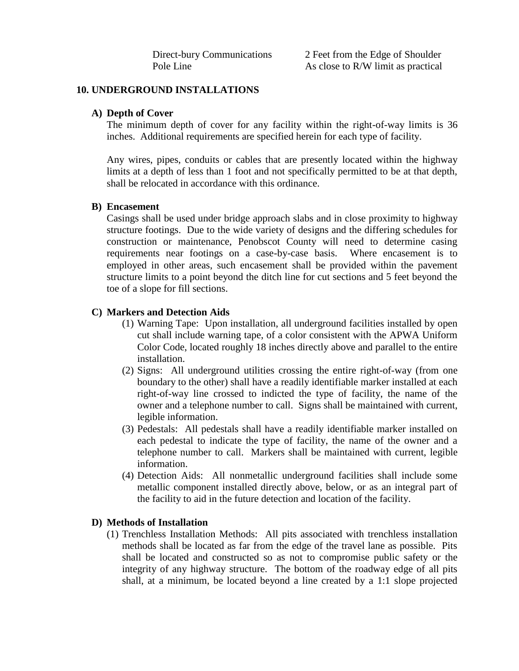Direct-bury Communications 2 Feet from the Edge of Shoulder Pole Line As close to R/W limit as practical

#### **10. UNDERGROUND INSTALLATIONS**

#### **A) Depth of Cover**

The minimum depth of cover for any facility within the right-of-way limits is 36 inches. Additional requirements are specified herein for each type of facility.

Any wires, pipes, conduits or cables that are presently located within the highway limits at a depth of less than 1 foot and not specifically permitted to be at that depth, shall be relocated in accordance with this ordinance.

#### **B) Encasement**

Casings shall be used under bridge approach slabs and in close proximity to highway structure footings. Due to the wide variety of designs and the differing schedules for construction or maintenance, Penobscot County will need to determine casing requirements near footings on a case-by-case basis. Where encasement is to employed in other areas, such encasement shall be provided within the pavement structure limits to a point beyond the ditch line for cut sections and 5 feet beyond the toe of a slope for fill sections.

### **C) Markers and Detection Aids**

- (1) Warning Tape: Upon installation, all underground facilities installed by open cut shall include warning tape, of a color consistent with the APWA Uniform Color Code, located roughly 18 inches directly above and parallel to the entire installation.
- (2) Signs: All underground utilities crossing the entire right-of-way (from one boundary to the other) shall have a readily identifiable marker installed at each right-of-way line crossed to indicted the type of facility, the name of the owner and a telephone number to call. Signs shall be maintained with current, legible information.
- (3) Pedestals: All pedestals shall have a readily identifiable marker installed on each pedestal to indicate the type of facility, the name of the owner and a telephone number to call. Markers shall be maintained with current, legible information.
- (4) Detection Aids: All nonmetallic underground facilities shall include some metallic component installed directly above, below, or as an integral part of the facility to aid in the future detection and location of the facility.

#### **D) Methods of Installation**

(1) Trenchless Installation Methods: All pits associated with trenchless installation methods shall be located as far from the edge of the travel lane as possible. Pits shall be located and constructed so as not to compromise public safety or the integrity of any highway structure. The bottom of the roadway edge of all pits shall, at a minimum, be located beyond a line created by a 1:1 slope projected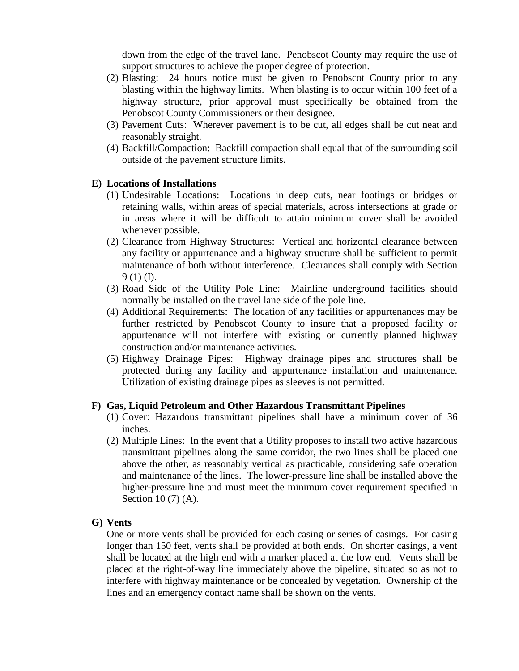down from the edge of the travel lane. Penobscot County may require the use of support structures to achieve the proper degree of protection.

- (2) Blasting: 24 hours notice must be given to Penobscot County prior to any blasting within the highway limits. When blasting is to occur within 100 feet of a highway structure, prior approval must specifically be obtained from the Penobscot County Commissioners or their designee.
- (3) Pavement Cuts: Wherever pavement is to be cut, all edges shall be cut neat and reasonably straight.
- (4) Backfill/Compaction: Backfill compaction shall equal that of the surrounding soil outside of the pavement structure limits.

#### **E) Locations of Installations**

- (1) Undesirable Locations: Locations in deep cuts, near footings or bridges or retaining walls, within areas of special materials, across intersections at grade or in areas where it will be difficult to attain minimum cover shall be avoided whenever possible.
- (2) Clearance from Highway Structures: Vertical and horizontal clearance between any facility or appurtenance and a highway structure shall be sufficient to permit maintenance of both without interference. Clearances shall comply with Section 9 (1) (I).
- (3) Road Side of the Utility Pole Line: Mainline underground facilities should normally be installed on the travel lane side of the pole line.
- (4) Additional Requirements: The location of any facilities or appurtenances may be further restricted by Penobscot County to insure that a proposed facility or appurtenance will not interfere with existing or currently planned highway construction and/or maintenance activities.
- (5) Highway Drainage Pipes: Highway drainage pipes and structures shall be protected during any facility and appurtenance installation and maintenance. Utilization of existing drainage pipes as sleeves is not permitted.

#### **F) Gas, Liquid Petroleum and Other Hazardous Transmittant Pipelines**

- (1) Cover: Hazardous transmittant pipelines shall have a minimum cover of 36 inches.
- (2) Multiple Lines: In the event that a Utility proposes to install two active hazardous transmittant pipelines along the same corridor, the two lines shall be placed one above the other, as reasonably vertical as practicable, considering safe operation and maintenance of the lines. The lower-pressure line shall be installed above the higher-pressure line and must meet the minimum cover requirement specified in Section 10 (7) (A).

#### **G) Vents**

One or more vents shall be provided for each casing or series of casings. For casing longer than 150 feet, vents shall be provided at both ends. On shorter casings, a vent shall be located at the high end with a marker placed at the low end. Vents shall be placed at the right-of-way line immediately above the pipeline, situated so as not to interfere with highway maintenance or be concealed by vegetation. Ownership of the lines and an emergency contact name shall be shown on the vents.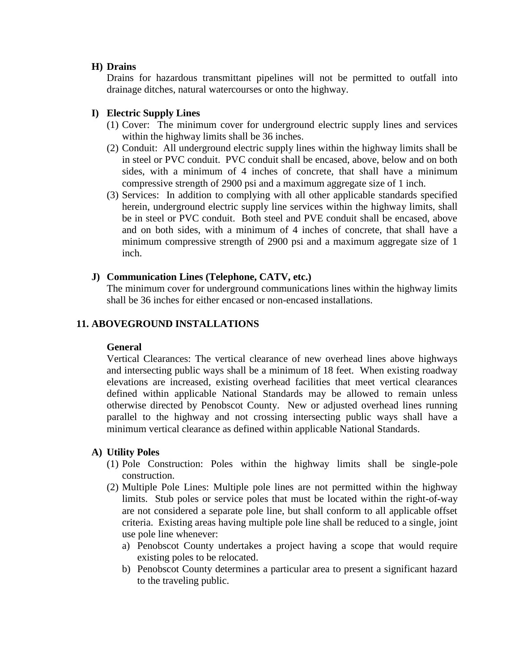#### **H) Drains**

Drains for hazardous transmittant pipelines will not be permitted to outfall into drainage ditches, natural watercourses or onto the highway.

## **I) Electric Supply Lines**

- (1) Cover: The minimum cover for underground electric supply lines and services within the highway limits shall be 36 inches.
- (2) Conduit: All underground electric supply lines within the highway limits shall be in steel or PVC conduit. PVC conduit shall be encased, above, below and on both sides, with a minimum of 4 inches of concrete, that shall have a minimum compressive strength of 2900 psi and a maximum aggregate size of 1 inch.
- (3) Services: In addition to complying with all other applicable standards specified herein, underground electric supply line services within the highway limits, shall be in steel or PVC conduit. Both steel and PVE conduit shall be encased, above and on both sides, with a minimum of 4 inches of concrete, that shall have a minimum compressive strength of 2900 psi and a maximum aggregate size of 1 inch.

## **J) Communication Lines (Telephone, CATV, etc.)**

The minimum cover for underground communications lines within the highway limits shall be 36 inches for either encased or non-encased installations.

## **11. ABOVEGROUND INSTALLATIONS**

### **General**

Vertical Clearances: The vertical clearance of new overhead lines above highways and intersecting public ways shall be a minimum of 18 feet. When existing roadway elevations are increased, existing overhead facilities that meet vertical clearances defined within applicable National Standards may be allowed to remain unless otherwise directed by Penobscot County. New or adjusted overhead lines running parallel to the highway and not crossing intersecting public ways shall have a minimum vertical clearance as defined within applicable National Standards.

### **A) Utility Poles**

- (1) Pole Construction: Poles within the highway limits shall be single-pole construction.
- (2) Multiple Pole Lines: Multiple pole lines are not permitted within the highway limits. Stub poles or service poles that must be located within the right-of-way are not considered a separate pole line, but shall conform to all applicable offset criteria. Existing areas having multiple pole line shall be reduced to a single, joint use pole line whenever:
	- a) Penobscot County undertakes a project having a scope that would require existing poles to be relocated.
	- b) Penobscot County determines a particular area to present a significant hazard to the traveling public.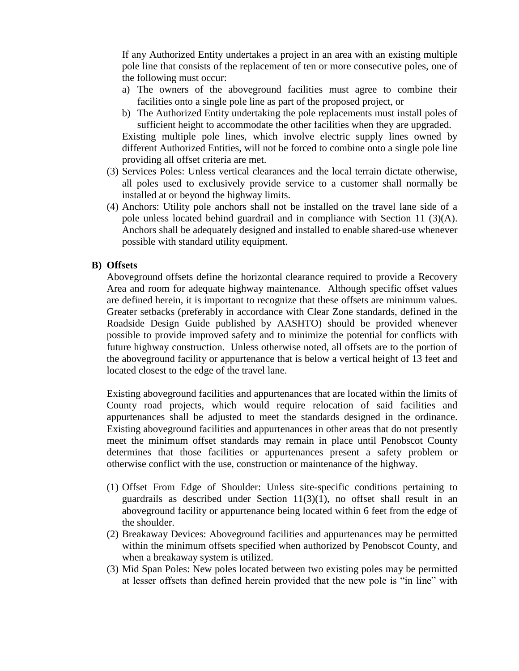If any Authorized Entity undertakes a project in an area with an existing multiple pole line that consists of the replacement of ten or more consecutive poles, one of the following must occur:

- a) The owners of the aboveground facilities must agree to combine their facilities onto a single pole line as part of the proposed project, or
- b) The Authorized Entity undertaking the pole replacements must install poles of sufficient height to accommodate the other facilities when they are upgraded.

Existing multiple pole lines, which involve electric supply lines owned by different Authorized Entities, will not be forced to combine onto a single pole line providing all offset criteria are met.

- (3) Services Poles: Unless vertical clearances and the local terrain dictate otherwise, all poles used to exclusively provide service to a customer shall normally be installed at or beyond the highway limits.
- (4) Anchors: Utility pole anchors shall not be installed on the travel lane side of a pole unless located behind guardrail and in compliance with Section 11  $(3)(A)$ . Anchors shall be adequately designed and installed to enable shared-use whenever possible with standard utility equipment.

### **B) Offsets**

Aboveground offsets define the horizontal clearance required to provide a Recovery Area and room for adequate highway maintenance. Although specific offset values are defined herein, it is important to recognize that these offsets are minimum values. Greater setbacks (preferably in accordance with Clear Zone standards, defined in the Roadside Design Guide published by AASHTO) should be provided whenever possible to provide improved safety and to minimize the potential for conflicts with future highway construction. Unless otherwise noted, all offsets are to the portion of the aboveground facility or appurtenance that is below a vertical height of 13 feet and located closest to the edge of the travel lane.

Existing aboveground facilities and appurtenances that are located within the limits of County road projects, which would require relocation of said facilities and appurtenances shall be adjusted to meet the standards designed in the ordinance. Existing aboveground facilities and appurtenances in other areas that do not presently meet the minimum offset standards may remain in place until Penobscot County determines that those facilities or appurtenances present a safety problem or otherwise conflict with the use, construction or maintenance of the highway.

- (1) Offset From Edge of Shoulder: Unless site-specific conditions pertaining to guardrails as described under Section 11(3)(1), no offset shall result in an aboveground facility or appurtenance being located within 6 feet from the edge of the shoulder.
- (2) Breakaway Devices: Aboveground facilities and appurtenances may be permitted within the minimum offsets specified when authorized by Penobscot County, and when a breakaway system is utilized.
- (3) Mid Span Poles: New poles located between two existing poles may be permitted at lesser offsets than defined herein provided that the new pole is "in line" with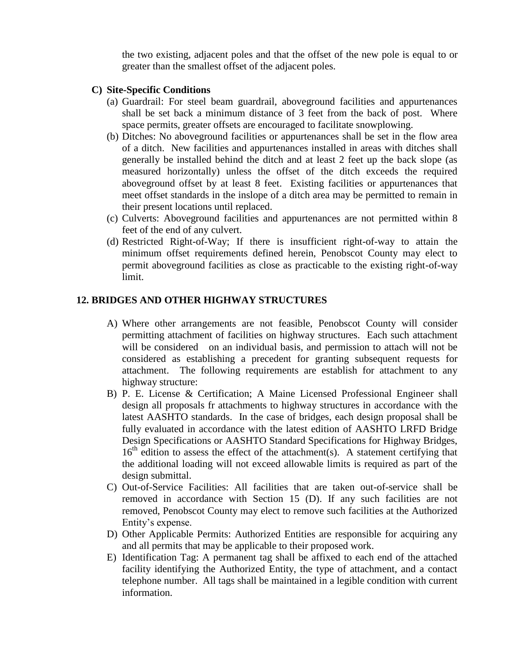the two existing, adjacent poles and that the offset of the new pole is equal to or greater than the smallest offset of the adjacent poles.

### **C) Site-Specific Conditions**

- (a) Guardrail: For steel beam guardrail, aboveground facilities and appurtenances shall be set back a minimum distance of 3 feet from the back of post. Where space permits, greater offsets are encouraged to facilitate snowplowing.
- (b) Ditches: No aboveground facilities or appurtenances shall be set in the flow area of a ditch. New facilities and appurtenances installed in areas with ditches shall generally be installed behind the ditch and at least 2 feet up the back slope (as measured horizontally) unless the offset of the ditch exceeds the required aboveground offset by at least 8 feet. Existing facilities or appurtenances that meet offset standards in the inslope of a ditch area may be permitted to remain in their present locations until replaced.
- (c) Culverts: Aboveground facilities and appurtenances are not permitted within 8 feet of the end of any culvert.
- (d) Restricted Right-of-Way; If there is insufficient right-of-way to attain the minimum offset requirements defined herein, Penobscot County may elect to permit aboveground facilities as close as practicable to the existing right-of-way limit.

# **12. BRIDGES AND OTHER HIGHWAY STRUCTURES**

- A) Where other arrangements are not feasible, Penobscot County will consider permitting attachment of facilities on highway structures. Each such attachment will be considered on an individual basis, and permission to attach will not be considered as establishing a precedent for granting subsequent requests for attachment. The following requirements are establish for attachment to any highway structure:
- B) P. E. License & Certification; A Maine Licensed Professional Engineer shall design all proposals fr attachments to highway structures in accordance with the latest AASHTO standards. In the case of bridges, each design proposal shall be fully evaluated in accordance with the latest edition of AASHTO LRFD Bridge Design Specifications or AASHTO Standard Specifications for Highway Bridges,  $16<sup>th</sup>$  edition to assess the effect of the attachment(s). A statement certifying that the additional loading will not exceed allowable limits is required as part of the design submittal.
- C) Out-of-Service Facilities: All facilities that are taken out-of-service shall be removed in accordance with Section 15 (D). If any such facilities are not removed, Penobscot County may elect to remove such facilities at the Authorized Entity's expense.
- D) Other Applicable Permits: Authorized Entities are responsible for acquiring any and all permits that may be applicable to their proposed work.
- E) Identification Tag: A permanent tag shall be affixed to each end of the attached facility identifying the Authorized Entity, the type of attachment, and a contact telephone number. All tags shall be maintained in a legible condition with current information.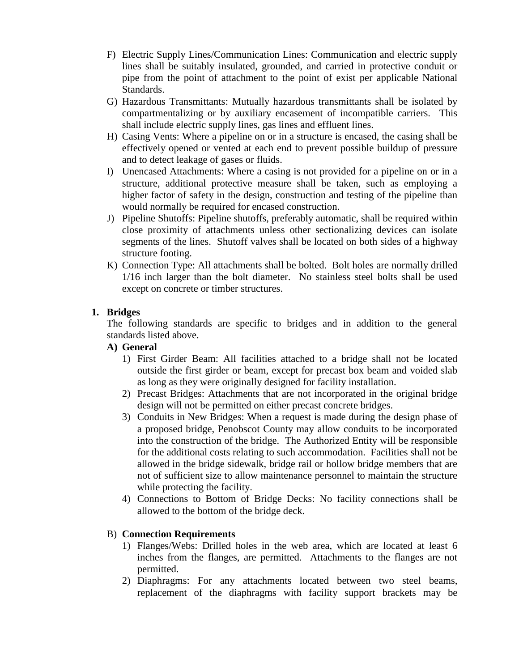- F) Electric Supply Lines/Communication Lines: Communication and electric supply lines shall be suitably insulated, grounded, and carried in protective conduit or pipe from the point of attachment to the point of exist per applicable National Standards.
- G) Hazardous Transmittants: Mutually hazardous transmittants shall be isolated by compartmentalizing or by auxiliary encasement of incompatible carriers. This shall include electric supply lines, gas lines and effluent lines.
- H) Casing Vents: Where a pipeline on or in a structure is encased, the casing shall be effectively opened or vented at each end to prevent possible buildup of pressure and to detect leakage of gases or fluids.
- I) Unencased Attachments: Where a casing is not provided for a pipeline on or in a structure, additional protective measure shall be taken, such as employing a higher factor of safety in the design, construction and testing of the pipeline than would normally be required for encased construction.
- J) Pipeline Shutoffs: Pipeline shutoffs, preferably automatic, shall be required within close proximity of attachments unless other sectionalizing devices can isolate segments of the lines. Shutoff valves shall be located on both sides of a highway structure footing.
- K) Connection Type: All attachments shall be bolted. Bolt holes are normally drilled 1/16 inch larger than the bolt diameter. No stainless steel bolts shall be used except on concrete or timber structures.

# **1. Bridges**

The following standards are specific to bridges and in addition to the general standards listed above.

# **A) General**

- 1) First Girder Beam: All facilities attached to a bridge shall not be located outside the first girder or beam, except for precast box beam and voided slab as long as they were originally designed for facility installation.
- 2) Precast Bridges: Attachments that are not incorporated in the original bridge design will not be permitted on either precast concrete bridges.
- 3) Conduits in New Bridges: When a request is made during the design phase of a proposed bridge, Penobscot County may allow conduits to be incorporated into the construction of the bridge. The Authorized Entity will be responsible for the additional costs relating to such accommodation. Facilities shall not be allowed in the bridge sidewalk, bridge rail or hollow bridge members that are not of sufficient size to allow maintenance personnel to maintain the structure while protecting the facility.
- 4) Connections to Bottom of Bridge Decks: No facility connections shall be allowed to the bottom of the bridge deck.

# B) **Connection Requirements**

- 1) Flanges/Webs: Drilled holes in the web area, which are located at least 6 inches from the flanges, are permitted. Attachments to the flanges are not permitted.
- 2) Diaphragms: For any attachments located between two steel beams, replacement of the diaphragms with facility support brackets may be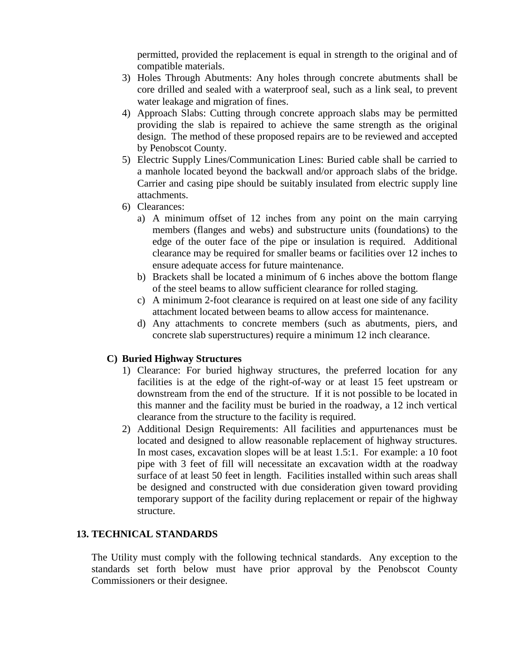permitted, provided the replacement is equal in strength to the original and of compatible materials.

- 3) Holes Through Abutments: Any holes through concrete abutments shall be core drilled and sealed with a waterproof seal, such as a link seal, to prevent water leakage and migration of fines.
- 4) Approach Slabs: Cutting through concrete approach slabs may be permitted providing the slab is repaired to achieve the same strength as the original design. The method of these proposed repairs are to be reviewed and accepted by Penobscot County.
- 5) Electric Supply Lines/Communication Lines: Buried cable shall be carried to a manhole located beyond the backwall and/or approach slabs of the bridge. Carrier and casing pipe should be suitably insulated from electric supply line attachments.
- 6) Clearances:
	- a) A minimum offset of 12 inches from any point on the main carrying members (flanges and webs) and substructure units (foundations) to the edge of the outer face of the pipe or insulation is required. Additional clearance may be required for smaller beams or facilities over 12 inches to ensure adequate access for future maintenance.
	- b) Brackets shall be located a minimum of 6 inches above the bottom flange of the steel beams to allow sufficient clearance for rolled staging.
	- c) A minimum 2-foot clearance is required on at least one side of any facility attachment located between beams to allow access for maintenance.
	- d) Any attachments to concrete members (such as abutments, piers, and concrete slab superstructures) require a minimum 12 inch clearance.

# **C) Buried Highway Structures**

- 1) Clearance: For buried highway structures, the preferred location for any facilities is at the edge of the right-of-way or at least 15 feet upstream or downstream from the end of the structure. If it is not possible to be located in this manner and the facility must be buried in the roadway, a 12 inch vertical clearance from the structure to the facility is required.
- 2) Additional Design Requirements: All facilities and appurtenances must be located and designed to allow reasonable replacement of highway structures. In most cases, excavation slopes will be at least 1.5:1. For example: a 10 foot pipe with 3 feet of fill will necessitate an excavation width at the roadway surface of at least 50 feet in length. Facilities installed within such areas shall be designed and constructed with due consideration given toward providing temporary support of the facility during replacement or repair of the highway structure.

### **13. TECHNICAL STANDARDS**

The Utility must comply with the following technical standards. Any exception to the standards set forth below must have prior approval by the Penobscot County Commissioners or their designee.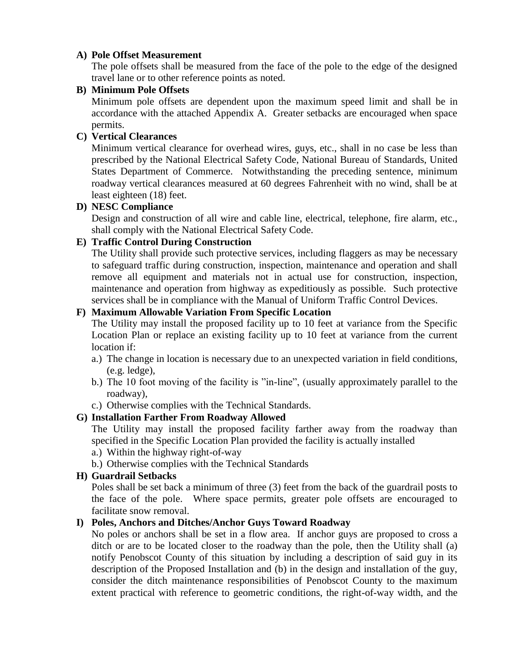## **A) Pole Offset Measurement**

The pole offsets shall be measured from the face of the pole to the edge of the designed travel lane or to other reference points as noted.

## **B) Minimum Pole Offsets**

Minimum pole offsets are dependent upon the maximum speed limit and shall be in accordance with the attached Appendix A. Greater setbacks are encouraged when space permits.

# **C) Vertical Clearances**

Minimum vertical clearance for overhead wires, guys, etc., shall in no case be less than prescribed by the National Electrical Safety Code, National Bureau of Standards, United States Department of Commerce. Notwithstanding the preceding sentence, minimum roadway vertical clearances measured at 60 degrees Fahrenheit with no wind, shall be at least eighteen (18) feet.

## **D) NESC Compliance**

Design and construction of all wire and cable line, electrical, telephone, fire alarm, etc., shall comply with the National Electrical Safety Code.

# **E) Traffic Control During Construction**

The Utility shall provide such protective services, including flaggers as may be necessary to safeguard traffic during construction, inspection, maintenance and operation and shall remove all equipment and materials not in actual use for construction, inspection, maintenance and operation from highway as expeditiously as possible. Such protective services shall be in compliance with the Manual of Uniform Traffic Control Devices.

# **F) Maximum Allowable Variation From Specific Location**

The Utility may install the proposed facility up to 10 feet at variance from the Specific Location Plan or replace an existing facility up to 10 feet at variance from the current location if:

- a.) The change in location is necessary due to an unexpected variation in field conditions, (e.g. ledge),
- b.) The 10 foot moving of the facility is "in-line", (usually approximately parallel to the roadway),
- c.) Otherwise complies with the Technical Standards.

# **G) Installation Farther From Roadway Allowed**

The Utility may install the proposed facility farther away from the roadway than specified in the Specific Location Plan provided the facility is actually installed

- a.) Within the highway right-of-way
- b.) Otherwise complies with the Technical Standards

# **H) Guardrail Setbacks**

Poles shall be set back a minimum of three (3) feet from the back of the guardrail posts to the face of the pole. Where space permits, greater pole offsets are encouraged to facilitate snow removal.

# **I) Poles, Anchors and Ditches/Anchor Guys Toward Roadway**

No poles or anchors shall be set in a flow area. If anchor guys are proposed to cross a ditch or are to be located closer to the roadway than the pole, then the Utility shall (a) notify Penobscot County of this situation by including a description of said guy in its description of the Proposed Installation and (b) in the design and installation of the guy, consider the ditch maintenance responsibilities of Penobscot County to the maximum extent practical with reference to geometric conditions, the right-of-way width, and the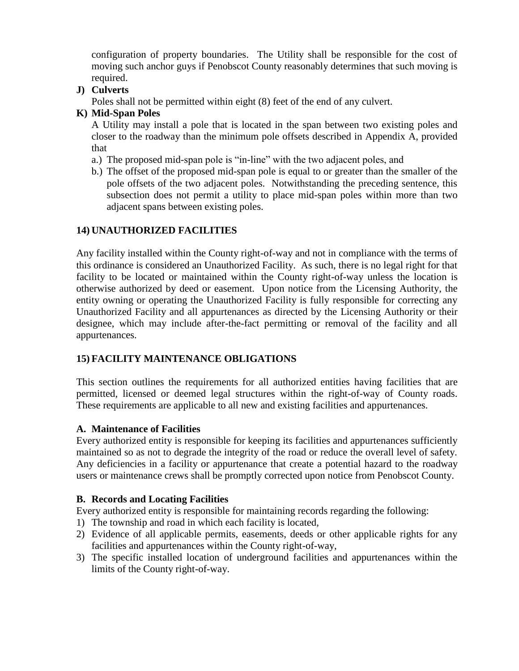configuration of property boundaries. The Utility shall be responsible for the cost of moving such anchor guys if Penobscot County reasonably determines that such moving is required.

# **J) Culverts**

Poles shall not be permitted within eight (8) feet of the end of any culvert.

## **K) Mid-Span Poles**

A Utility may install a pole that is located in the span between two existing poles and closer to the roadway than the minimum pole offsets described in Appendix A, provided that

- a.) The proposed mid-span pole is "in-line" with the two adjacent poles, and
- b.) The offset of the proposed mid-span pole is equal to or greater than the smaller of the pole offsets of the two adjacent poles. Notwithstanding the preceding sentence, this subsection does not permit a utility to place mid-span poles within more than two adjacent spans between existing poles.

# **14) UNAUTHORIZED FACILITIES**

Any facility installed within the County right-of-way and not in compliance with the terms of this ordinance is considered an Unauthorized Facility. As such, there is no legal right for that facility to be located or maintained within the County right-of-way unless the location is otherwise authorized by deed or easement. Upon notice from the Licensing Authority, the entity owning or operating the Unauthorized Facility is fully responsible for correcting any Unauthorized Facility and all appurtenances as directed by the Licensing Authority or their designee, which may include after-the-fact permitting or removal of the facility and all appurtenances.

# **15) FACILITY MAINTENANCE OBLIGATIONS**

This section outlines the requirements for all authorized entities having facilities that are permitted, licensed or deemed legal structures within the right-of-way of County roads. These requirements are applicable to all new and existing facilities and appurtenances.

### **A. Maintenance of Facilities**

Every authorized entity is responsible for keeping its facilities and appurtenances sufficiently maintained so as not to degrade the integrity of the road or reduce the overall level of safety. Any deficiencies in a facility or appurtenance that create a potential hazard to the roadway users or maintenance crews shall be promptly corrected upon notice from Penobscot County.

### **B. Records and Locating Facilities**

Every authorized entity is responsible for maintaining records regarding the following:

- 1) The township and road in which each facility is located,
- 2) Evidence of all applicable permits, easements, deeds or other applicable rights for any facilities and appurtenances within the County right-of-way,
- 3) The specific installed location of underground facilities and appurtenances within the limits of the County right-of-way.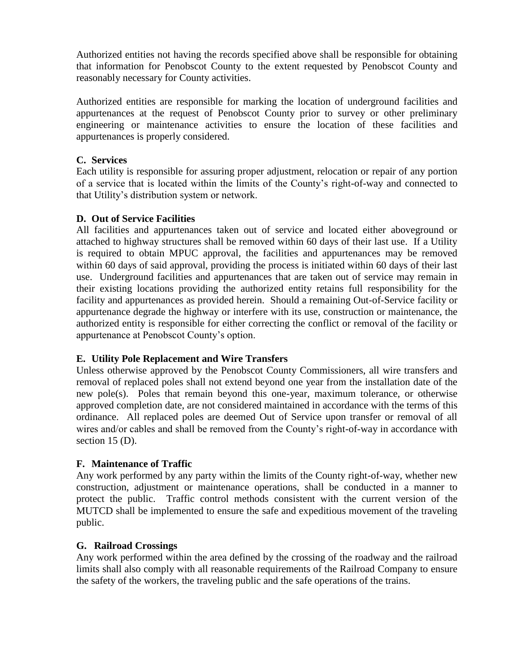Authorized entities not having the records specified above shall be responsible for obtaining that information for Penobscot County to the extent requested by Penobscot County and reasonably necessary for County activities.

Authorized entities are responsible for marking the location of underground facilities and appurtenances at the request of Penobscot County prior to survey or other preliminary engineering or maintenance activities to ensure the location of these facilities and appurtenances is properly considered.

## **C. Services**

Each utility is responsible for assuring proper adjustment, relocation or repair of any portion of a service that is located within the limits of the County's right-of-way and connected to that Utility's distribution system or network.

# **D. Out of Service Facilities**

All facilities and appurtenances taken out of service and located either aboveground or attached to highway structures shall be removed within 60 days of their last use. If a Utility is required to obtain MPUC approval, the facilities and appurtenances may be removed within 60 days of said approval, providing the process is initiated within 60 days of their last use. Underground facilities and appurtenances that are taken out of service may remain in their existing locations providing the authorized entity retains full responsibility for the facility and appurtenances as provided herein. Should a remaining Out-of-Service facility or appurtenance degrade the highway or interfere with its use, construction or maintenance, the authorized entity is responsible for either correcting the conflict or removal of the facility or appurtenance at Penobscot County's option.

# **E. Utility Pole Replacement and Wire Transfers**

Unless otherwise approved by the Penobscot County Commissioners, all wire transfers and removal of replaced poles shall not extend beyond one year from the installation date of the new pole(s). Poles that remain beyond this one-year, maximum tolerance, or otherwise approved completion date, are not considered maintained in accordance with the terms of this ordinance. All replaced poles are deemed Out of Service upon transfer or removal of all wires and/or cables and shall be removed from the County's right-of-way in accordance with section 15 (D).

# **F. Maintenance of Traffic**

Any work performed by any party within the limits of the County right-of-way, whether new construction, adjustment or maintenance operations, shall be conducted in a manner to protect the public. Traffic control methods consistent with the current version of the MUTCD shall be implemented to ensure the safe and expeditious movement of the traveling public.

### **G. Railroad Crossings**

Any work performed within the area defined by the crossing of the roadway and the railroad limits shall also comply with all reasonable requirements of the Railroad Company to ensure the safety of the workers, the traveling public and the safe operations of the trains.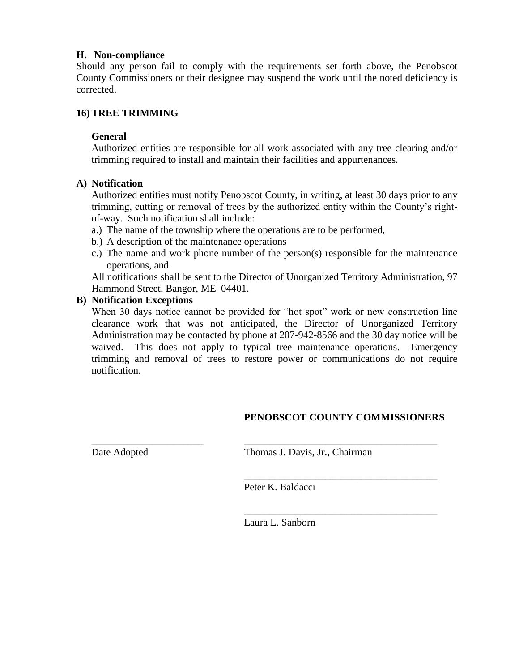### **H. Non-compliance**

Should any person fail to comply with the requirements set forth above, the Penobscot County Commissioners or their designee may suspend the work until the noted deficiency is corrected.

## **16)TREE TRIMMING**

### **General**

Authorized entities are responsible for all work associated with any tree clearing and/or trimming required to install and maintain their facilities and appurtenances.

### **A) Notification**

Authorized entities must notify Penobscot County, in writing, at least 30 days prior to any trimming, cutting or removal of trees by the authorized entity within the County's rightof-way. Such notification shall include:

- a.) The name of the township where the operations are to be performed,
- b.) A description of the maintenance operations
- c.) The name and work phone number of the person(s) responsible for the maintenance operations, and

All notifications shall be sent to the Director of Unorganized Territory Administration, 97 Hammond Street, Bangor, ME 04401.

## **B) Notification Exceptions**

When 30 days notice cannot be provided for "hot spot" work or new construction line clearance work that was not anticipated, the Director of Unorganized Territory Administration may be contacted by phone at 207-942-8566 and the 30 day notice will be waived. This does not apply to typical tree maintenance operations. Emergency trimming and removal of trees to restore power or communications do not require notification.

# **PENOBSCOT COUNTY COMMISSIONERS**

\_\_\_\_\_\_\_\_\_\_\_\_\_\_\_\_\_\_\_\_\_\_\_\_\_\_\_\_\_\_\_\_\_\_\_\_\_\_

\_\_\_\_\_\_\_\_\_\_\_\_\_\_\_\_\_\_\_\_\_\_\_\_\_\_\_\_\_\_\_\_\_\_\_\_\_\_

Date Adopted Thomas J. Davis, Jr., Chairman

Peter K. Baldacci

\_\_\_\_\_\_\_\_\_\_\_\_\_\_\_\_\_\_\_\_\_\_ \_\_\_\_\_\_\_\_\_\_\_\_\_\_\_\_\_\_\_\_\_\_\_\_\_\_\_\_\_\_\_\_\_\_\_\_\_\_

Laura L. Sanborn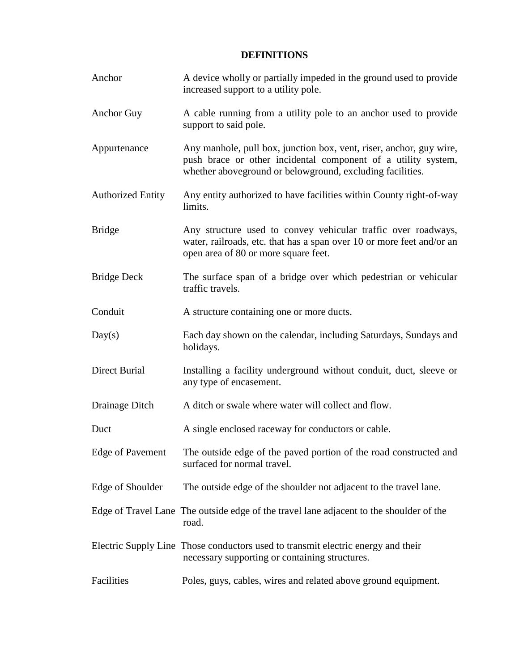# **DEFINITIONS**

| Anchor                   | A device wholly or partially impeded in the ground used to provide<br>increased support to a utility pole.                                                                                        |
|--------------------------|---------------------------------------------------------------------------------------------------------------------------------------------------------------------------------------------------|
| Anchor Guy               | A cable running from a utility pole to an anchor used to provide<br>support to said pole.                                                                                                         |
| Appurtenance             | Any manhole, pull box, junction box, vent, riser, anchor, guy wire,<br>push brace or other incidental component of a utility system,<br>whether aboveground or belowground, excluding facilities. |
| <b>Authorized Entity</b> | Any entity authorized to have facilities within County right-of-way<br>limits.                                                                                                                    |
| <b>Bridge</b>            | Any structure used to convey vehicular traffic over roadways,<br>water, railroads, etc. that has a span over 10 or more feet and/or an<br>open area of 80 or more square feet.                    |
| <b>Bridge Deck</b>       | The surface span of a bridge over which pedestrian or vehicular<br>traffic travels.                                                                                                               |
| Conduit                  | A structure containing one or more ducts.                                                                                                                                                         |
| Day(s)                   | Each day shown on the calendar, including Saturdays, Sundays and<br>holidays.                                                                                                                     |
| <b>Direct Burial</b>     | Installing a facility underground without conduit, duct, sleeve or<br>any type of encasement.                                                                                                     |
| Drainage Ditch           | A ditch or swale where water will collect and flow.                                                                                                                                               |
| Duct                     | A single enclosed raceway for conductors or cable.                                                                                                                                                |
| <b>Edge of Pavement</b>  | The outside edge of the paved portion of the road constructed and<br>surfaced for normal travel.                                                                                                  |
| Edge of Shoulder         | The outside edge of the shoulder not adjacent to the travel lane.                                                                                                                                 |
|                          | Edge of Travel Lane The outside edge of the travel lane adjacent to the shoulder of the<br>road.                                                                                                  |
|                          | Electric Supply Line Those conductors used to transmit electric energy and their<br>necessary supporting or containing structures.                                                                |
| Facilities               | Poles, guys, cables, wires and related above ground equipment.                                                                                                                                    |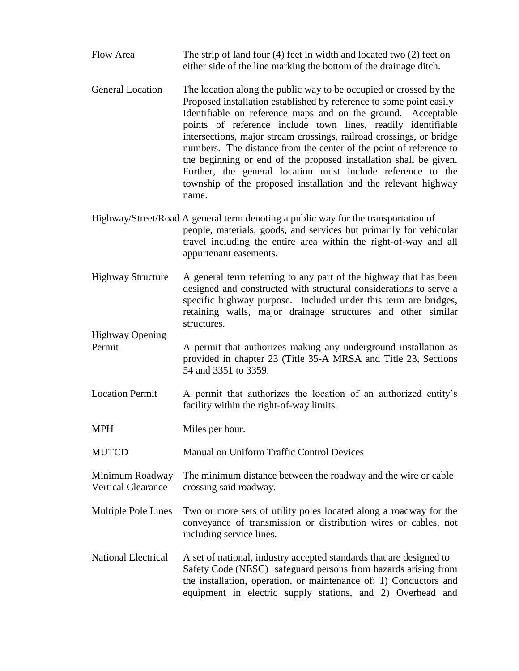- Flow Area The strip of land four (4) feet in width and located two (2) feet on either side of the line marking the bottom of the drainage ditch.
- General Location The location along the public way to be occupied or crossed by the Proposed installation established by reference to some point easily Identifiable on reference maps and on the ground. Acceptable points of reference include town lines, readily identifiable intersections, major stream crossings, railroad crossings, or bridge numbers. The distance from the center of the point of reference to the beginning or end of the proposed installation shall be given. Further, the general location must include reference to the township of the proposed installation and the relevant highway name.
- Highway/Street/Road A general term denoting a public way for the transportation of people, materials, goods, and services but primarily for vehicular travel including the entire area within the right-of-way and all appurtenant easements.
- Highway Structure A general term referring to any part of the highway that has been designed and constructed with structural considerations to serve a specific highway purpose. Included under this term are bridges, retaining walls, major drainage structures and other similar structures.
- Highway Opening Permit A permit that authorizes making any underground installation as provided in chapter 23 (Title 35-A MRSA and Title 23, Sections 54 and 3351 to 3359.
- Location Permit A permit that authorizes the location of an authorized entity's facility within the right-of-way limits.
- MPH Miles per hour.
- MUTCD Manual on Uniform Traffic Control Devices
- Minimum Roadway The minimum distance between the roadway and the wire or cable Vertical Clearance crossing said roadway.
- Multiple Pole Lines Two or more sets of utility poles located along a roadway for the conveyance of transmission or distribution wires or cables, not including service lines.
- National Electrical A set of national, industry accepted standards that are designed to Safety Code (NESC) safeguard persons from hazards arising from the installation, operation, or maintenance of: 1) Conductors and equipment in electric supply stations, and 2) Overhead and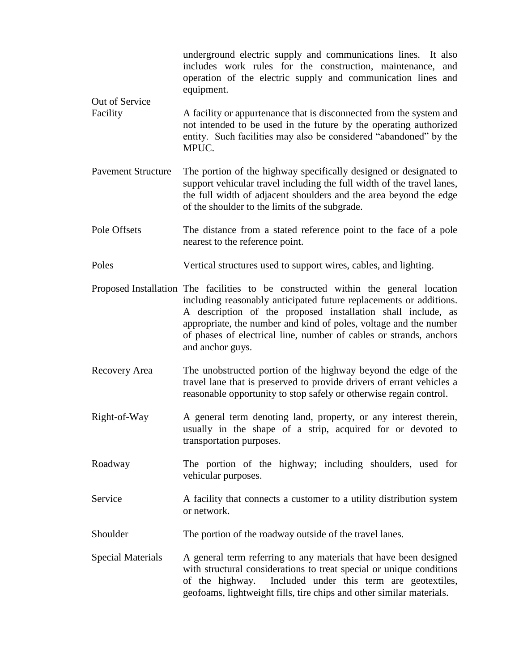| Out of Service<br>Facility | underground electric supply and communications lines. It also<br>includes work rules for the construction, maintenance,<br>and<br>operation of the electric supply and communication lines and<br>equipment.                                                                                                                                                                            |
|----------------------------|-----------------------------------------------------------------------------------------------------------------------------------------------------------------------------------------------------------------------------------------------------------------------------------------------------------------------------------------------------------------------------------------|
|                            | A facility or appurtenance that is disconnected from the system and<br>not intended to be used in the future by the operating authorized<br>entity. Such facilities may also be considered "abandoned" by the<br>MPUC.                                                                                                                                                                  |
| <b>Pavement Structure</b>  | The portion of the highway specifically designed or designated to<br>support vehicular travel including the full width of the travel lanes,<br>the full width of adjacent shoulders and the area beyond the edge<br>of the shoulder to the limits of the subgrade.                                                                                                                      |
| Pole Offsets               | The distance from a stated reference point to the face of a pole<br>nearest to the reference point.                                                                                                                                                                                                                                                                                     |
| Poles                      | Vertical structures used to support wires, cables, and lighting.                                                                                                                                                                                                                                                                                                                        |
|                            | Proposed Installation The facilities to be constructed within the general location<br>including reasonably anticipated future replacements or additions.<br>A description of the proposed installation shall include, as<br>appropriate, the number and kind of poles, voltage and the number<br>of phases of electrical line, number of cables or strands, anchors<br>and anchor guys. |
| Recovery Area              | The unobstructed portion of the highway beyond the edge of the<br>travel lane that is preserved to provide drivers of errant vehicles a<br>reasonable opportunity to stop safely or otherwise regain control.                                                                                                                                                                           |
| Right-of-Way               | A general term denoting land, property, or any interest therein,<br>usually in the shape of a strip, acquired for or devoted to<br>transportation purposes.                                                                                                                                                                                                                             |
| Roadway                    | The portion of the highway; including shoulders, used for<br>vehicular purposes.                                                                                                                                                                                                                                                                                                        |
| Service                    | A facility that connects a customer to a utility distribution system<br>or network.                                                                                                                                                                                                                                                                                                     |
| Shoulder                   | The portion of the roadway outside of the travel lanes.                                                                                                                                                                                                                                                                                                                                 |
| <b>Special Materials</b>   | A general term referring to any materials that have been designed<br>with structural considerations to treat special or unique conditions<br>Included under this term are geotextiles,<br>of the highway.<br>geofoams, lightweight fills, tire chips and other similar materials.                                                                                                       |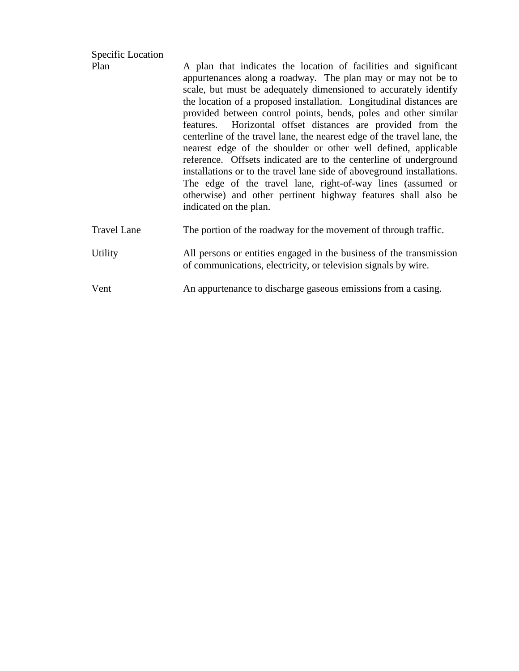| Plan               | A plan that indicates the location of facilities and significant<br>appurtenances along a roadway. The plan may or may not be to<br>scale, but must be adequately dimensioned to accurately identify<br>the location of a proposed installation. Longitudinal distances are<br>provided between control points, bends, poles and other similar<br>features. Horizontal offset distances are provided from the<br>centerline of the travel lane, the nearest edge of the travel lane, the<br>nearest edge of the shoulder or other well defined, applicable<br>reference. Offsets indicated are to the centerline of underground<br>installations or to the travel lane side of above ground installations.<br>The edge of the travel lane, right-of-way lines (assumed or<br>otherwise) and other pertinent highway features shall also be<br>indicated on the plan. |
|--------------------|----------------------------------------------------------------------------------------------------------------------------------------------------------------------------------------------------------------------------------------------------------------------------------------------------------------------------------------------------------------------------------------------------------------------------------------------------------------------------------------------------------------------------------------------------------------------------------------------------------------------------------------------------------------------------------------------------------------------------------------------------------------------------------------------------------------------------------------------------------------------|
| <b>Travel Lane</b> | The portion of the roadway for the movement of through traffic.                                                                                                                                                                                                                                                                                                                                                                                                                                                                                                                                                                                                                                                                                                                                                                                                      |
| Utility            | All persons or entities engaged in the business of the transmission<br>of communications, electricity, or television signals by wire.                                                                                                                                                                                                                                                                                                                                                                                                                                                                                                                                                                                                                                                                                                                                |
| Vent               | An appurtenance to discharge gaseous emissions from a casing.                                                                                                                                                                                                                                                                                                                                                                                                                                                                                                                                                                                                                                                                                                                                                                                                        |